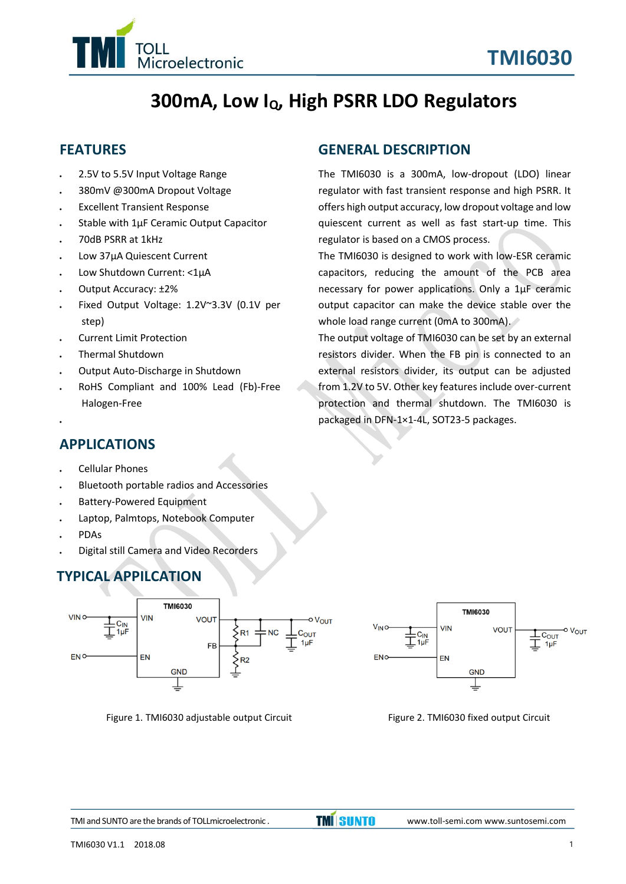

# **300mA, Low IQ, High PSRR LDO Regulators**

## **FEATURES**

- ⚫ 2.5V to 5.5V Input Voltage Range
- ⚫ 380mV @300mA Dropout Voltage
- ⚫ Excellent Transient Response
- ⚫ Stable with 1μF Ceramic Output Capacitor
- ⚫ 70dB PSRR at 1kHz
- ⚫ Low 37μA Quiescent Current
- ⚫ Low Shutdown Current: <1μA
- ⚫ Output Accuracy: ±2%
- ⚫ Fixed Output Voltage: 1.2V~3.3V (0.1V per step)
- ⚫ Current Limit Protection
- ⚫ Thermal Shutdown
- ⚫ Output Auto-Discharge in Shutdown
- ⚫ RoHS Compliant and 100% Lead (Fb)-Free Halogen-Free

#### **GENERAL DESCRIPTION**

The TMI6030 is a 300mA, low-dropout (LDO) linear regulator with fast transient response and high PSRR. It offers high output accuracy, low dropout voltage and low quiescent current as well as fast start-up time. This regulator is based on a CMOS process.

The TMI6030 is designed to work with low-ESR ceramic capacitors, reducing the amount of the PCB area necessary for power applications. Only a 1μF ceramic output capacitor can make the device stable over the whole load range current (0mA to 300mA).

The output voltage of TMI6030 can be set by an external resistors divider. When the FB pin is connected to an external resistors divider, its output can be adjusted from 1.2V to 5V. Other key features include over-current protection and thermal shutdown. The TMI6030 is packaged in DFN-1×1-4L, SOT23-5 packages.

## **APPLICATIONS**

- ⚫ Cellular Phones
- ⚫ Bluetooth portable radios and Accessories
- ⚫ Battery-Powered Equipment
- ⚫ Laptop, Palmtops, Notebook Computer
- ⚫ PDAs

⚫

⚫ Digital still Camera and Video Recorders

## **TYPICAL APPILCATION**



Figure 1. TMI6030 adjustable output Circuit Figure 2. TMI6030 fixed output Circuit

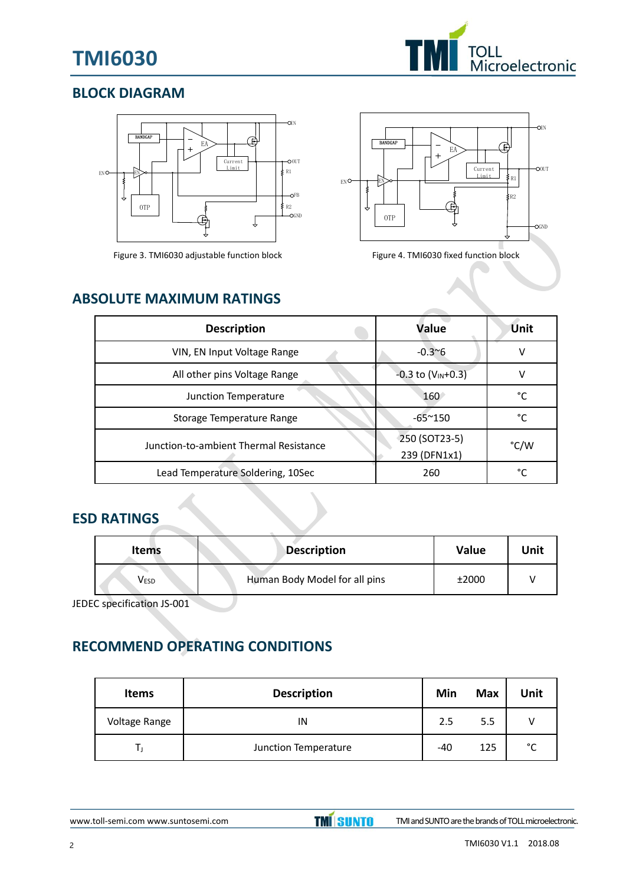# **TMI6030**



## **BLOCK DIAGRAM**



Figure 3. TMI6030 adjustable function block Figure 4. TMI6030 fixed function block



## **ABSOLUTE MAXIMUM RATINGS**

| <b>Description</b>                     | <b>Value</b>                  | <b>Unit</b> |
|----------------------------------------|-------------------------------|-------------|
| VIN, EN Input Voltage Range            | $-0.3^{\sim}6$                |             |
| All other pins Voltage Range           | $-0.3$ to $(V_{IN}+0.3)$      |             |
| Junction Temperature                   | 160                           | °۲          |
| Storage Temperature Range              | $-65^{\sim}150$               | °C          |
| Junction-to-ambient Thermal Resistance | 250 (SOT23-5)<br>239 (DFN1x1) | °C/W        |
| Lead Temperature Soldering, 10Sec      | 260                           | ∘∼          |

## **ESD RATINGS**

| <b>Items</b>     | <b>Description</b>            | Value | Unit |
|------------------|-------------------------------|-------|------|
| V <sub>ESD</sub> | Human Body Model for all pins | ±2000 |      |

JEDEC specification JS-001

# **RECOMMEND OPERATING CONDITIONS**

| <b>Items</b>  | <b>Description</b>   | Min | <b>Max</b> | Unit   |
|---------------|----------------------|-----|------------|--------|
| Voltage Range | IN                   | 2.5 | 5.5        |        |
|               | Junction Temperature | -40 | 125        | $\sim$ |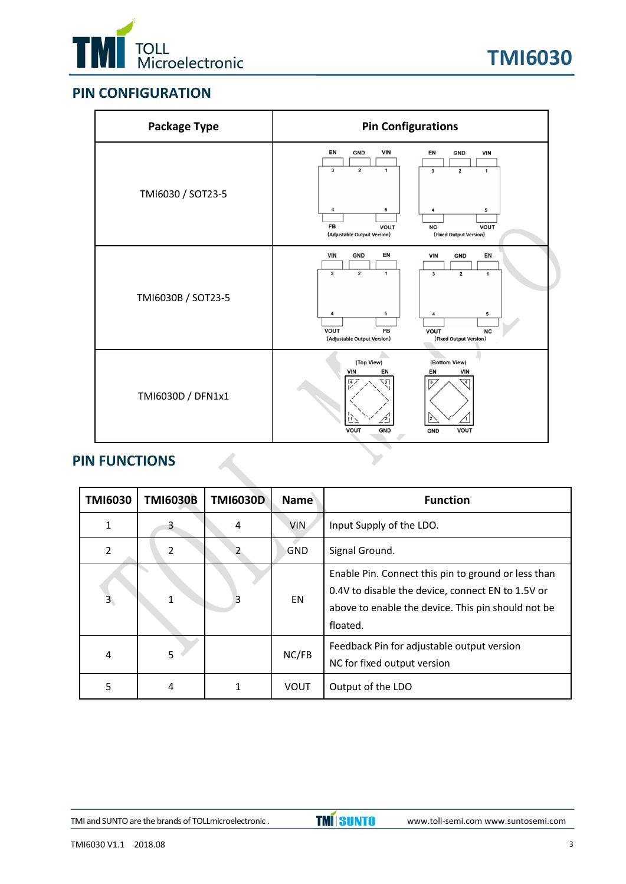

## **PIN CONFIGURATION**

| <b>Package Type</b> | <b>Pin Configurations</b>                                                                                                                                                                          |  |  |  |
|---------------------|----------------------------------------------------------------------------------------------------------------------------------------------------------------------------------------------------|--|--|--|
|                     | EN<br><b>VIN</b><br><b>GND</b><br>EN<br><b>GND</b><br><b>VIN</b><br>$\overline{3}$<br>$\overline{\mathbf{2}}$<br>$\mathbf{1}$<br>$\mathbf{3}$<br>$\mathbf{2}$<br>$\mathbf{1}$                      |  |  |  |
| TMI6030 / SOT23-5   | 5<br>5<br>FB<br><b>VOUT</b><br><b>VOUT</b><br><b>NC</b><br>(Adjustable Output Version)<br>(Fixed Output Version)                                                                                   |  |  |  |
| TMI6030B / SOT23-5  | EN<br><b>VIN</b><br><b>GND</b><br><b>VIN</b><br><b>GND</b><br>EN<br>$\overline{\mathbf{2}}$<br>$\overline{\mathbf{3}}$<br>$\mathbf 1$<br>$\mathbf 2$<br>$\mathbf{3}$<br>$\mathbf 1$<br>5<br>5<br>4 |  |  |  |
|                     | VOUT<br><b>FB</b><br><b>VOUT</b><br><b>NC</b><br>(Fixed Output Version)<br>(Adjustable Output Version)                                                                                             |  |  |  |
| TMI6030D / DFN1x1   | (Top View)<br>(Bottom View)<br><b>VIN</b><br>EN<br><b>VIN</b><br>EN<br>$\sqrt{47}$<br>₹5<br>3 <sub>l</sub><br>$\overline{A}$<br>$\frac{2}{2}$<br>VOUT<br><b>GND</b><br><b>VOUT</b><br><b>GND</b>   |  |  |  |

#### **PIN FUNCTIONS**

| <b>TMI6030</b>          | <b>TMI6030B</b> | <b>TMI6030D</b> | <b>Name</b> | <b>Function</b>                                                                                                                                                            |
|-------------------------|-----------------|-----------------|-------------|----------------------------------------------------------------------------------------------------------------------------------------------------------------------------|
| 1                       | 3               | 4               | <b>VIN</b>  | Input Supply of the LDO.                                                                                                                                                   |
| $\overline{2}$          | 2               | 2               | GND         | Signal Ground.                                                                                                                                                             |
| $\overline{\mathbf{3}}$ |                 | 3               | <b>EN</b>   | Enable Pin. Connect this pin to ground or less than<br>0.4V to disable the device, connect EN to 1.5V or<br>above to enable the device. This pin should not be<br>floated. |
| 4                       | 5               |                 | NC/FB       | Feedback Pin for adjustable output version<br>NC for fixed output version                                                                                                  |
| 5                       | 4               |                 | <b>VOUT</b> | Output of the LDO                                                                                                                                                          |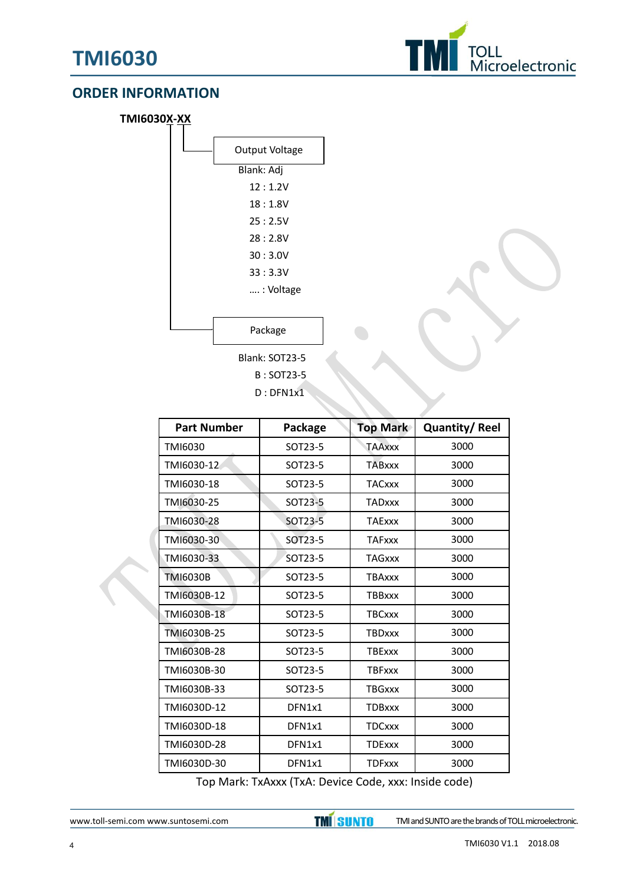

#### **ORDER INFORMATION**

| TMI6030X-XX |                       |
|-------------|-----------------------|
|             | <b>Output Voltage</b> |
|             | Blank: Adj            |
|             | 12:1.2V               |
|             | 18:1.8V               |
|             | 25:2.5V               |
|             | 28:2.8V               |
|             | 30:3.0V               |
|             | 33 : 3.3V             |
|             | : Voltage             |
|             |                       |
|             | Package               |
|             | Blank: SOT23-5        |
|             | B: SOT23-5            |

D : DFN1x1

| <b>Part Number</b> | Package | <b>Top Mark</b> | <b>Quantity/Reel</b> |
|--------------------|---------|-----------------|----------------------|
| TMI6030            | SOT23-5 | <b>TAAxxx</b>   | 3000                 |
| TMI6030-12         | SOT23-5 | <b>TABxxx</b>   | 3000                 |
| TMI6030-18         | SOT23-5 | <b>TACxxx</b>   | 3000                 |
| TMI6030-25         | SOT23-5 | <b>TADxxx</b>   | 3000                 |
| TMI6030-28         | SOT23-5 | <b>TAExxx</b>   | 3000                 |
| TMI6030-30         | SOT23-5 | <b>TAFxxx</b>   | 3000                 |
| TMI6030-33         | SOT23-5 | <b>TAGxxx</b>   | 3000                 |
| <b>TMI6030B</b>    | SOT23-5 | <b>TBAxxx</b>   | 3000                 |
| TMI6030B-12        | SOT23-5 | <b>TBBxxx</b>   | 3000                 |
| TMI6030B-18        | SOT23-5 | <b>TBCxxx</b>   | 3000                 |
| TMI6030B-25        | SOT23-5 | <b>TBDxxx</b>   | 3000                 |
| TMI6030B-28        | SOT23-5 | <b>TBExxx</b>   | 3000                 |
| TMI6030B-30        | SOT23-5 | <b>TBFxxx</b>   | 3000                 |
| TMI6030B-33        | SOT23-5 | <b>TBGxxx</b>   | 3000                 |
| TMI6030D-12        | DFN1x1  | <b>TDBxxx</b>   | 3000                 |
| TMI6030D-18        | DFN1x1  | <b>TDCxxx</b>   | 3000                 |
| TMI6030D-28        | DFN1x1  | <b>TDExxx</b>   | 3000                 |
| TMI6030D-30        | DFN1x1  | <b>TDFxxx</b>   | 3000                 |

Top Mark: TxAxxx (TxA: Device Code, xxx: Inside code)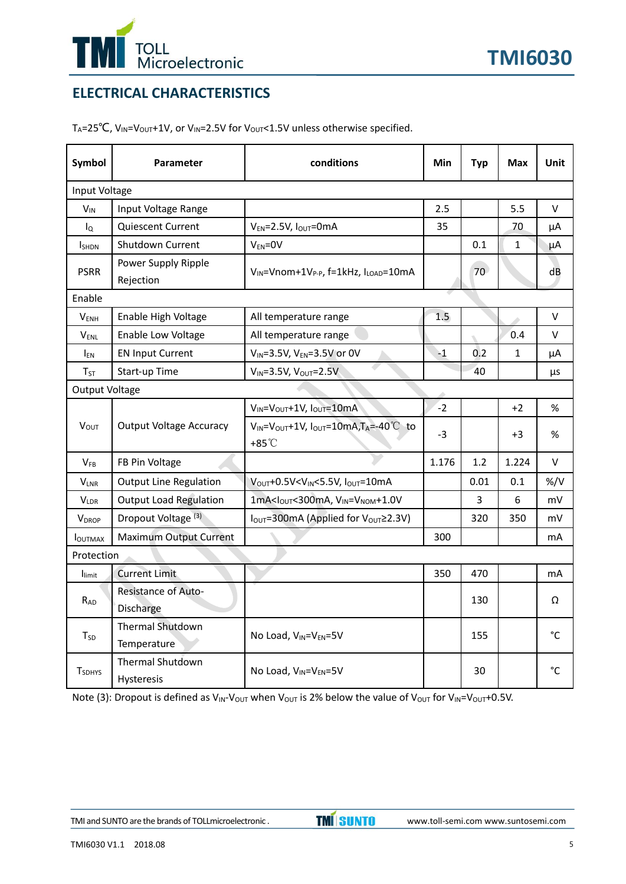

## **ELECTRICAL CHARACTERISTICS**

T<sub>A</sub>=25<sup>°</sup>C, V<sub>IN</sub>=V<sub>OUT</sub>+1V, or V<sub>IN</sub>=2.5V for V<sub>OUT</sub><1.5V unless otherwise specified.

| Symbol                    | Parameter                             | conditions                                                                       | <b>Min</b> | <b>Typ</b>      | <b>Max</b>   | Unit           |  |
|---------------------------|---------------------------------------|----------------------------------------------------------------------------------|------------|-----------------|--------------|----------------|--|
| Input Voltage             |                                       |                                                                                  |            |                 |              |                |  |
| $V_{IN}$                  | Input Voltage Range                   |                                                                                  | 2.5        |                 | 5.5          | V              |  |
| $I_{Q}$                   | <b>Quiescent Current</b>              | $V_{EN} = 2.5V$ , $I_{OUT} = 0mA$                                                | 35         |                 | 70           | μA             |  |
| <b>I</b> SHDN             | Shutdown Current                      | $V_{EN} = 0V$                                                                    |            | 0.1             | 1            | μA             |  |
| <b>PSRR</b>               | Power Supply Ripple<br>Rejection      | VIN=Vnom+1V <sub>P-P</sub> , f=1kHz, ILOAD=10mA                                  |            | 70 <sup>2</sup> |              | dB             |  |
| Enable                    |                                       |                                                                                  |            |                 |              |                |  |
| <b>VENH</b>               | Enable High Voltage                   | All temperature range                                                            | 1.5        |                 |              | V              |  |
| $V_{ENL}$                 | Enable Low Voltage                    | All temperature range                                                            |            |                 | 0.4          | V              |  |
| <b>IEN</b>                | <b>EN Input Current</b>               | $V_{IN} = 3.5V, V_{EN} = 3.5V$ or 0V                                             | $-1$       | 0.2             | $\mathbf{1}$ | μA             |  |
| $T_{ST}$                  | Start-up Time                         | $V_{IN} = 3.5V$ , $V_{OUT} = 2.5V$                                               |            | 40              |              | μs             |  |
| <b>Output Voltage</b>     |                                       |                                                                                  |            |                 |              |                |  |
|                           |                                       | $V_{IN} = V_{OUT} + 1V$ , $I_{OUT} = 10$ mA                                      | $-2$       |                 | $+2$         | %              |  |
| $V_{OUT}$                 | <b>Output Voltage Accuracy</b>        | $V_{IN} = V_{OUT} + 1V$ , $I_{OUT} = 10mA$ , $T_A = -40°C$ to<br>$+85^{\circ}$ C | $-3$       |                 | $+3$         | %              |  |
| $V_{FB}$                  | FB Pin Voltage                        |                                                                                  | 1.176      | 1.2             | 1.224        | V              |  |
| $V_{LNR}$                 | <b>Output Line Regulation</b>         | V <sub>OUT</sub> +0.5V <vin<5.5v, i<sub="">OUT=10mA</vin<5.5v,>                  |            | 0.01            | 0.1          | $\frac{\%}{V}$ |  |
| $V_{LDR}$                 | <b>Output Load Regulation</b>         | $1mA < IOUT < 300mA, VIN = VNOM+1.0V$                                            |            | 3               | 6            | mV             |  |
| <b>VDROP</b>              | Dropout Voltage <sup>(3)</sup>        | I <sub>OUT</sub> =300mA (Applied for V <sub>OUT</sub> ≥2.3V)                     |            | 320             | 350          | mV             |  |
| <b>I</b> OUTMAX           | <b>Maximum Output Current</b>         |                                                                                  | 300        |                 |              | mA             |  |
|                           | Protection                            |                                                                                  |            |                 |              |                |  |
| limit                     | <b>Current Limit</b>                  |                                                                                  | 350        | 470             |              | mA             |  |
| R <sub>AD</sub>           | Resistance of Auto-<br>Discharge      |                                                                                  |            | 130             |              | Ω              |  |
| T <sub>SD</sub>           | Thermal Shutdown<br>Temperature       | No Load, VIN=VEN=5V                                                              |            | 155             |              | °C             |  |
| <b>T</b> <sub>SDHYS</sub> | <b>Thermal Shutdown</b><br>Hysteresis | No Load, V <sub>IN</sub> =V <sub>EN</sub> =5V                                    |            | 30              |              | $^{\circ}$ C   |  |

Note (3): Dropout is defined as  $V_{\text{IN}}-V_{\text{OUT}}$  when  $V_{\text{OUT}}$  is 2% below the value of  $V_{\text{OUT}}$  for  $V_{\text{IN}}=V_{\text{OUT}}+0.5V$ .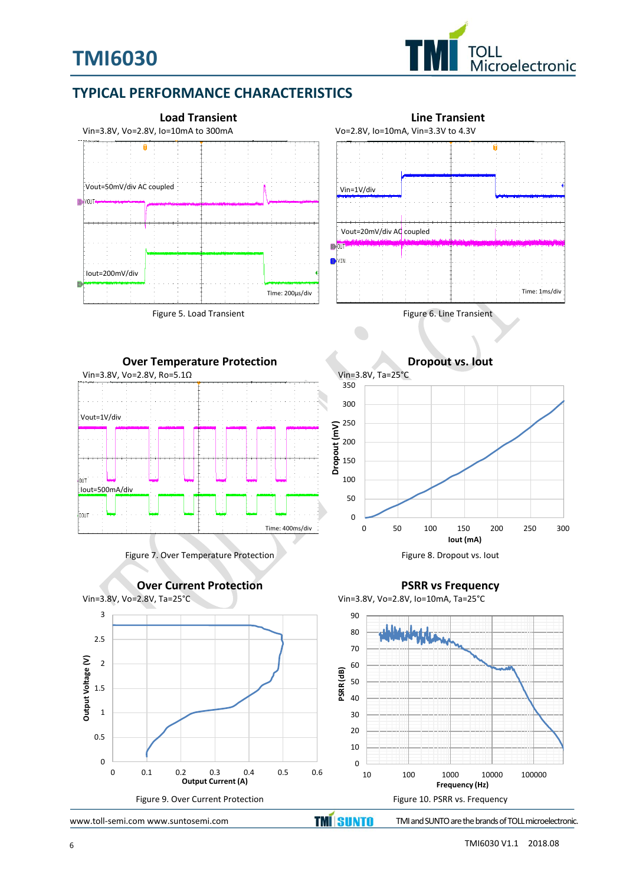

## **TYPICAL PERFORMANCE CHARACTERISTICS**





Figure 7. Over Temperature Protection Figure 8. Dropout vs. lout





**Dropout vs. Iout**



**PSRR vs Frequency**



 $\Omega$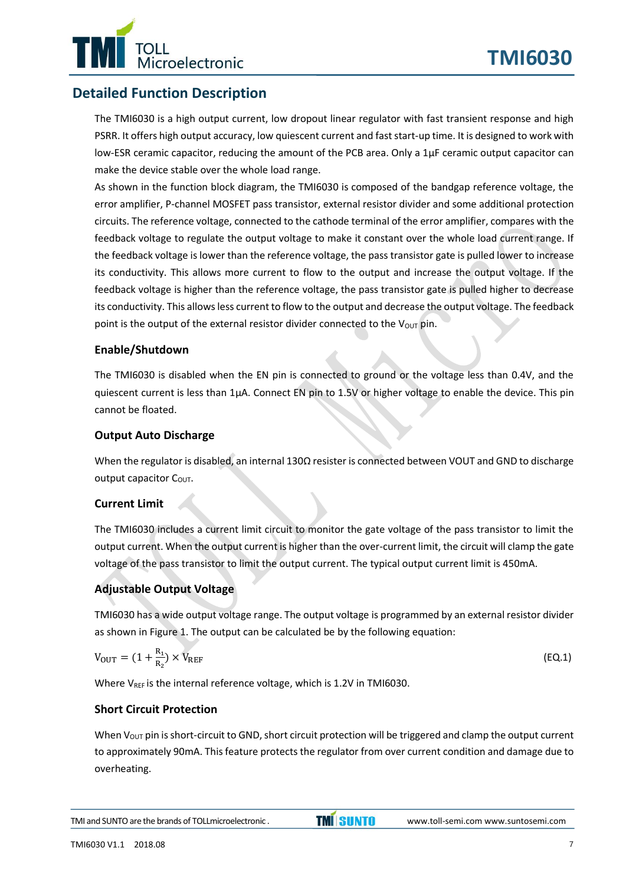

## **Detailed Function Description**

The TMI6030 is a high output current, low dropout linear regulator with fast transient response and high PSRR. It offers high output accuracy, low quiescent current and fast start-up time. It is designed to work with low-ESR ceramic capacitor, reducing the amount of the PCB area. Only a 1μF ceramic output capacitor can make the device stable over the whole load range.

As shown in the function block diagram, the TMI6030 is composed of the bandgap reference voltage, the error amplifier, P-channel MOSFET pass transistor, external resistor divider and some additional protection circuits. The reference voltage, connected to the cathode terminal of the error amplifier, compares with the feedback voltage to regulate the output voltage to make it constant over the whole load current range. If the feedback voltage is lower than the reference voltage, the pass transistor gate is pulled lower to increase its conductivity. This allows more current to flow to the output and increase the output voltage. If the feedback voltage is higher than the reference voltage, the pass transistor gate is pulled higher to decrease its conductivity. This allows less current to flow to the output and decrease the output voltage. The feedback point is the output of the external resistor divider connected to the  $V_{OUT}$  pin.

#### **Enable/Shutdown**

The TMI6030 is disabled when the EN pin is connected to ground or the voltage less than 0.4V, and the quiescent current is less than 1μA. Connect EN pin to 1.5V or higher voltage to enable the device. This pin cannot be floated.

#### **Output Auto Discharge**

When the regulator is disabled, an internal 130Ω resister is connected between VOUT and GND to discharge output capacitor  $C<sub>OUT</sub>$ .

#### **Current Limit**

The TMI6030 includes a current limit circuit to monitor the gate voltage of the pass transistor to limit the output current. When the output current is higher than the over-current limit, the circuit will clamp the gate voltage of the pass transistor to limit the output current. The typical output current limit is 450mA.

#### **Adjustable Output Voltage**

TMI6030 has a wide output voltage range. The output voltage is programmed by an external resistor divider as shown in Figure 1. The output can be calculated be by the following equation:

$$
V_{\text{OUT}} = (1 + \frac{R_1}{R_2}) \times V_{\text{REF}} \tag{Eq.1}
$$

Where V<sub>REF</sub> is the internal reference voltage, which is 1.2V in TMI6030.

#### **Short Circuit Protection**

When  $V_{\text{OUT}}$  pin is short-circuit to GND, short circuit protection will be triggered and clamp the output current to approximately 90mA. This feature protects the regulator from over current condition and damage due to overheating.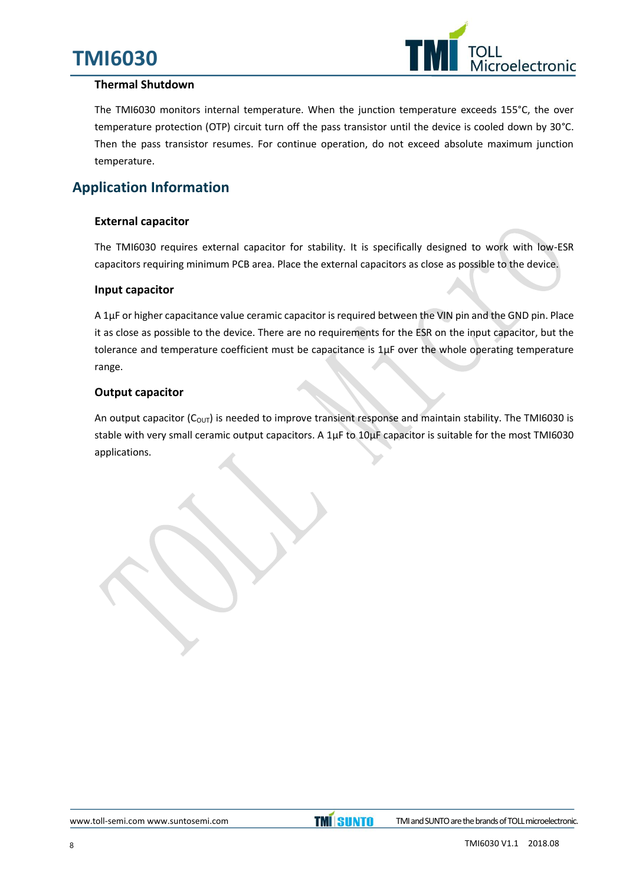# **TMI6030**



#### **Thermal Shutdown**

The TMI6030 monitors internal temperature. When the junction temperature exceeds 155°C, the over temperature protection (OTP) circuit turn off the pass transistor until the device is cooled down by 30°C. Then the pass transistor resumes. For continue operation, do not exceed absolute maximum junction temperature.

## **Application Information**

#### **External capacitor**

The TMI6030 requires external capacitor for stability. It is specifically designed to work with low-ESR capacitors requiring minimum PCB area. Place the external capacitors as close as possible to the device.

#### **Input capacitor**

A 1μF or higher capacitance value ceramic capacitor is required between the VIN pin and the GND pin. Place it as close as possible to the device. There are no requirements for the ESR on the input capacitor, but the tolerance and temperature coefficient must be capacitance is 1μF over the whole operating temperature range.

#### **Output capacitor**

An output capacitor ( $C_{\text{OUT}}$ ) is needed to improve transient response and maintain stability. The TMI6030 is stable with very small ceramic output capacitors. A 1μF to 10μF capacitor is suitable for the most TMI6030 applications.